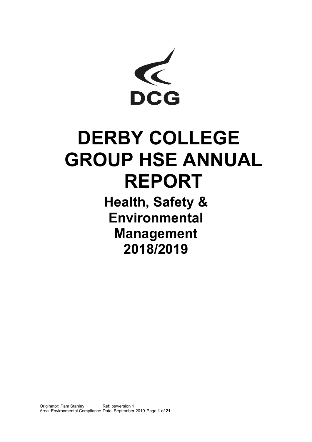

# **DERBY COLLEGE GROUP HSE ANNUAL REPORT**

**Health, Safety & Environmental Management 2018/2019**

Originator: Pam Stanley Area: Environmental Compliance Date: September 2019 Page **1** of **21** Ref: ps/version 1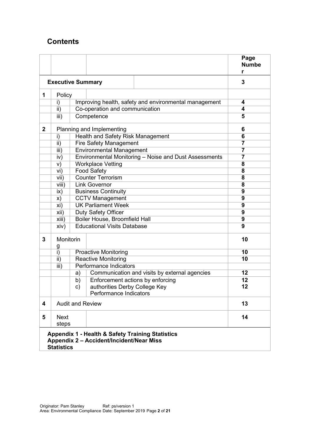# **Contents**

|                          |                                                            |                                    |                                                                                              | Page<br><b>Numbe</b>    |  |  |
|--------------------------|------------------------------------------------------------|------------------------------------|----------------------------------------------------------------------------------------------|-------------------------|--|--|
| <b>Executive Summary</b> | 3                                                          |                                    |                                                                                              |                         |  |  |
| 1                        | Policy                                                     |                                    |                                                                                              |                         |  |  |
|                          | i)                                                         |                                    | Improving health, safety and environmental management                                        | 4                       |  |  |
|                          | $\overline{\mathsf{ii}}$                                   |                                    | Co-operation and communication                                                               | 4                       |  |  |
|                          | iii)                                                       |                                    | Competence                                                                                   | 5                       |  |  |
| $\mathbf{2}$             |                                                            | Planning and Implementing          |                                                                                              |                         |  |  |
|                          | i)                                                         | Health and Safety Risk Management  |                                                                                              |                         |  |  |
|                          | ii)                                                        | <b>Fire Safety Management</b>      |                                                                                              |                         |  |  |
|                          | iii)                                                       | <b>Environmental Management</b>    |                                                                                              |                         |  |  |
|                          | iv)                                                        |                                    | Environmental Monitoring - Noise and Dust Assessments                                        | 7                       |  |  |
|                          | V)                                                         |                                    | <b>Workplace Vetting</b>                                                                     | 8<br>8                  |  |  |
|                          | vi)                                                        |                                    | <b>Food Safety</b>                                                                           |                         |  |  |
|                          | vii)                                                       |                                    | <b>Counter Terrorism</b>                                                                     | $\overline{\mathbf{8}}$ |  |  |
|                          | viii)                                                      |                                    | <b>Link Governor</b>                                                                         | 8                       |  |  |
|                          | ix)                                                        |                                    | <b>Business Continuity</b>                                                                   | $\overline{9}$          |  |  |
|                          | X)                                                         |                                    | <b>CCTV Management</b>                                                                       | $\overline{9}$          |  |  |
|                          | xi)                                                        |                                    | <b>UK Parliament Week</b>                                                                    | $\overline{9}$          |  |  |
|                          | xii)                                                       | Duty Safety Officer                | 9                                                                                            |                         |  |  |
|                          | xiii)                                                      |                                    | Boiler House, Broomfield Hall                                                                | $\overline{9}$          |  |  |
|                          | xiv)                                                       | <b>Educational Visits Database</b> | 9                                                                                            |                         |  |  |
| 3                        | Monitorin                                                  |                                    | 10                                                                                           |                         |  |  |
|                          | $\frac{g}{i}$                                              |                                    | <b>Proactive Monitoring</b>                                                                  | 10                      |  |  |
|                          | ii)                                                        |                                    | <b>Reactive Monitoring</b>                                                                   | 10                      |  |  |
|                          | <b>Performance Indicators</b><br>$\overline{\mathsf{iii}}$ |                                    |                                                                                              |                         |  |  |
|                          |                                                            | a)                                 | Communication and visits by external agencies                                                | 12                      |  |  |
|                          |                                                            | b)                                 | Enforcement actions by enforcing                                                             | 12                      |  |  |
|                          |                                                            | c)                                 | authorities Derby College Key                                                                | 12                      |  |  |
|                          |                                                            |                                    | Performance Indicators                                                                       |                         |  |  |
| 4                        | <b>Audit and Review</b>                                    |                                    | 13                                                                                           |                         |  |  |
| 5                        | <b>Next</b><br>steps                                       |                                    |                                                                                              | 14                      |  |  |
|                          | <b>Statistics</b>                                          |                                    | Appendix 1 - Health & Safety Training Statistics<br>Appendix 2 - Accident/Incident/Near Miss |                         |  |  |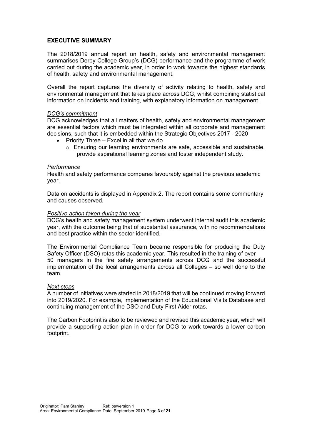#### **EXECUTIVE SUMMARY**

The 2018/2019 annual report on health, safety and environmental management summarises Derby College Group's (DCG) performance and the programme of work carried out during the academic year, in order to work towards the highest standards of health, safety and environmental management.

Overall the report captures the diversity of activity relating to health, safety and environmental management that takes place across DCG, whilst combining statistical information on incidents and training, with explanatory information on management.

#### *DCG's commitment*

DCG acknowledges that all matters of health, safety and environmental management are essential factors which must be integrated within all corporate and management decisions, such that it is embedded within the Strategic Objectives 2017 - 2020

- Priority Three Excel in all that we do
	- $\circ$  Ensuring our learning environments are safe, accessible and sustainable. provide aspirational learning zones and foster independent study.

#### *Performance*

Health and safety performance compares favourably against the previous academic year.

Data on accidents is displayed in Appendix 2. The report contains some commentary and causes observed.

#### *Positive action taken during the year*

DCG's health and safety management system underwent internal audit this academic year, with the outcome being that of substantial assurance, with no recommendations and best practice within the sector identified.

The Environmental Compliance Team became responsible for producing the Duty Safety Officer (DSO) rotas this academic year. This resulted in the training of over 50 managers in the fire safety arrangements across DCG and the successful implementation of the local arrangements across all Colleges – so well done to the team.

#### *Next steps*

A number of initiatives were started in 2018/2019 that will be continued moving forward into 2019/2020. For example, implementation of the Educational Visits Database and continuing management of the DSO and Duty First Aider rotas.

The Carbon Footprint is also to be reviewed and revised this academic year, which will provide a supporting action plan in order for DCG to work towards a lower carbon footprint.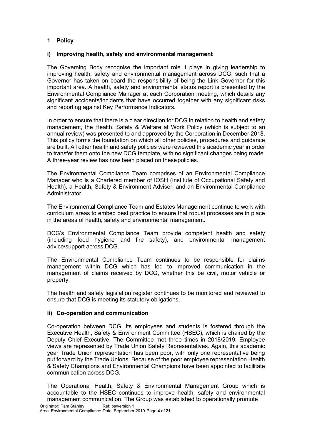## **1 Policy**

#### **i) Improving health, safety and environmental management**

The Governing Body recognise the important role it plays in giving leadership to improving health, safety and environmental management across DCG, such that a Governor has taken on board the responsibility of being the Link Governor for this important area. A health, safety and environmental status report is presented by the Environmental Compliance Manager at each Corporation meeting, which details any significant accidents/incidents that have occurred together with any significant risks and reporting against Key Performance Indicators.

In order to ensure that there is a clear direction for DCG in relation to health and safety management, the Health, Safety & Welfare at Work Policy (which is subject to an annual review) was presented to and approved by the Corporation in December 2018. This policy forms the foundation on which all other policies, procedures and guidance are built. All other health and safety policies were reviewed this academic year in order to transfer them onto the new DCG template, with no significant changes being made. A three-year review has now been placed on thesepolicies.

The Environmental Compliance Team comprises of an Environmental Compliance Manager who is a Chartered member of IOSH (Institute of Occupational Safety and Health), a Health, Safety & Environment Adviser, and an Environmental Compliance Administrator.

The Environmental Compliance Team and Estates Management continue to work with curriculum areas to embed best practice to ensure that robust processes are in place in the areas of health, safety and environmental management.

DCG's Environmental Compliance Team provide competent health and safety (including food hygiene and fire safety), and environmental management advice/support across DCG.

The Environmental Compliance Team continues to be responsible for claims management within DCG which has led to improved communication in the management of claims received by DCG, whether this be civil, motor vehicle or property.

The health and safety legislation register continues to be monitored and reviewed to ensure that DCG is meeting its statutory obligations.

#### **ii) Co-operation and communication**

Co-operation between DCG, its employees and students is fostered through the Executive Health, Safety & Environment Committee (HSEC), which is chaired by the Deputy Chief Executive. The Committee met three times in 2018/2019. Employee views are represented by Trade Union Safety Representatives. Again, this academic year Trade Union representation has been poor, with only one representative being put forward by the Trade Unions. Because of the poor employee representation Health & Safety Champions and Environmental Champions have been appointed to facilitate communication across DCG.

The Operational Health, Safety & Environmental Management Group which is accountable to the HSEC continues to improve health, safety and environmental management communication. The Group was established to operationally promote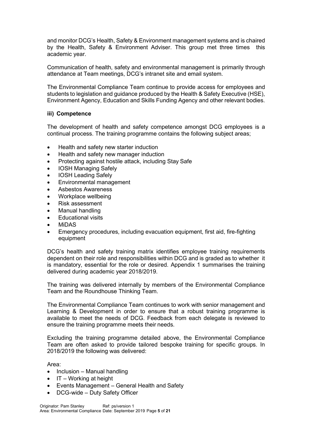and monitor DCG's Health, Safety & Environment management systems and is chaired by the Health, Safety & Environment Adviser. This group met three times this academic year.

Communication of health, safety and environmental management is primarily through attendance at Team meetings, DCG's intranet site and email system.

The Environmental Compliance Team continue to provide access for employees and students to legislation and guidance produced by the Health & Safety Executive (HSE), Environment Agency, Education and Skills Funding Agency and other relevant bodies.

#### **iii) Competence**

The development of health and safety competence amongst DCG employees is a continual process. The training programme contains the following subject areas;

- Health and safety new starter induction
- Health and safety new manager induction
- Protecting against hostile attack, including Stay Safe
- IOSH Managing Safely
- IOSH Leading Safely
- Environmental management
- Asbestos Awareness
- Workplace wellbeing
- Risk assessment
- Manual handling
- **Educational visits**
- MiDAS
- Emergency procedures, including evacuation equipment, first aid, fire-fighting equipment

DCG's health and safety training matrix identifies employee training requirements dependent on their role and responsibilities within DCG and is graded as to whether it is mandatory, essential for the role or desired. Appendix 1 summarises the training delivered during academic year 2018/2019.

The training was delivered internally by members of the Environmental Compliance Team and the Roundhouse Thinking Team.

The Environmental Compliance Team continues to work with senior management and Learning & Development in order to ensure that a robust training programme is available to meet the needs of DCG. Feedback from each delegate is reviewed to ensure the training programme meets their needs.

Excluding the training programme detailed above, the Environmental Compliance Team are often asked to provide tailored bespoke training for specific groups. In 2018/2019 the following was delivered:

Area:

- Inclusion Manual handling
- $\bullet$  IT Working at height
- Events Management General Health and Safety
- DCG-wide Duty Safety Officer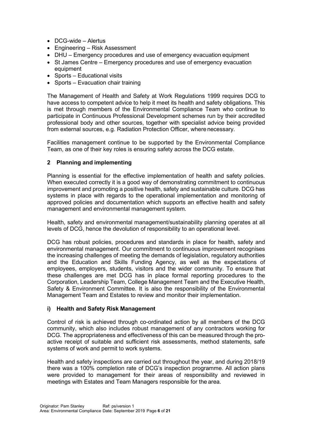- DCG-wide Alertus
- Engineering Risk Assessment
- DHU Emergency procedures and use of emergency evacuation equipment
- St James Centre Emergency procedures and use of emergency evacuation equipment
- Sports Educational visits
- Sports Evacuation chair training

The Management of Health and Safety at Work Regulations 1999 requires DCG to have access to competent advice to help it meet its health and safety obligations. This is met through members of the Environmental Compliance Team who continue to participate in Continuous Professional Development schemes run by their accredited professional body and other sources, together with specialist advice being provided from external sources, e.g. Radiation Protection Officer, where necessary.

Facilities management continue to be supported by the Environmental Compliance Team, as one of their key roles is ensuring safety across the DCG estate.

#### **2 Planning and implementing**

Planning is essential for the effective implementation of health and safety policies. When executed correctly it is a good way of demonstrating commitment to continuous improvement and promoting a positive health, safety and sustainable culture. DCG has systems in place with regards to the operational implementation and monitoring of approved policies and documentation which supports an effective health and safety management and environmental management system.

Health, safety and environmental management/sustainability planning operates at all levels of DCG, hence the devolution of responsibility to an operational level.

DCG has robust policies, procedures and standards in place for health, safety and environmental management. Our commitment to continuous improvement recognises the increasing challenges of meeting the demands of legislation, regulatory authorities and the Education and Skills Funding Agency, as well as the expectations of employees, employers, students, visitors and the wider community. To ensure that these challenges are met DCG has in place formal reporting procedures to the Corporation, Leadership Team, College Management Team and the Executive Health, Safety & Environment Committee. It is also the responsibility of the Environmental Management Team and Estates to review and monitor their implementation.

#### **i) Health and Safety Risk Management**

Control of risk is achieved through co-ordinated action by all members of the DCG community, which also includes robust management of any contractors working for DCG. The appropriateness and effectiveness of this can be measured through the proactive receipt of suitable and sufficient risk assessments, method statements, safe systems of work and permit to work systems.

Health and safety inspections are carried out throughout the year, and during 2018/19 there was a 100% completion rate of DCG's inspection programme. All action plans were provided to management for their areas of responsibility and reviewed in meetings with Estates and Team Managers responsible for the area.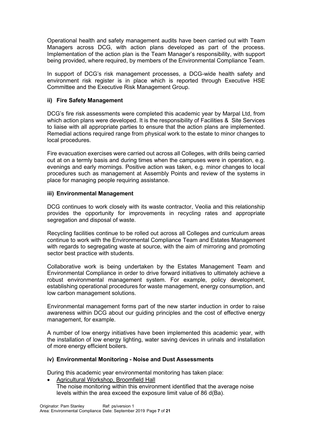Operational health and safety management audits have been carried out with Team Managers across DCG, with action plans developed as part of the process. Implementation of the action plan is the Team Manager's responsibility, with support being provided, where required, by members of the Environmental Compliance Team.

In support of DCG's risk management processes, a DCG-wide health safety and environment risk register is in place which is reported through Executive HSE Committee and the Executive Risk Management Group.

## **ii) Fire Safety Management**

DCG's fire risk assessments were completed this academic year by Marpal Ltd, from which action plans were developed. It is the responsibility of Facilities & Site Services to liaise with all appropriate parties to ensure that the action plans are implemented. Remedial actions required range from physical work to the estate to minor changes to local procedures.

Fire evacuation exercises were carried out across all Colleges, with drills being carried out at on a termly basis and during times when the campuses were in operation, e.g. evenings and early mornings. Positive action was taken, e.g. minor changes to local procedures such as management at Assembly Points and review of the systems in place for managing people requiring assistance.

## **iii) Environmental Management**

DCG continues to work closely with its waste contractor, Veolia and this relationship provides the opportunity for improvements in recycling rates and appropriate segregation and disposal of waste.

Recycling facilities continue to be rolled out across all Colleges and curriculum areas continue to work with the Environmental Compliance Team and Estates Management with regards to segregating waste at source, with the aim of mirroring and promoting sector best practice with students.

Collaborative work is being undertaken by the Estates Management Team and Environmental Compliance in order to drive forward initiatives to ultimately achieve a robust environmental management system. For example, policy development, establishing operational procedures for waste management, energy consumption, and low carbon management solutions.

Environmental management forms part of the new starter induction in order to raise awareness within DCG about our guiding principles and the cost of effective energy management, for example.

A number of low energy initiatives have been implemented this academic year, with the installation of low energy lighting, water saving devices in urinals and installation of more energy efficient boilers.

## **iv) Environmental Monitoring - Noise and Dust Assessments**

During this academic year environmental monitoring has taken place:

• Agricultural Workshop, Broomfield Hall The noise monitoring within this environment identified that the average noise levels within the area exceed the exposure limit value of 86 d(Ba).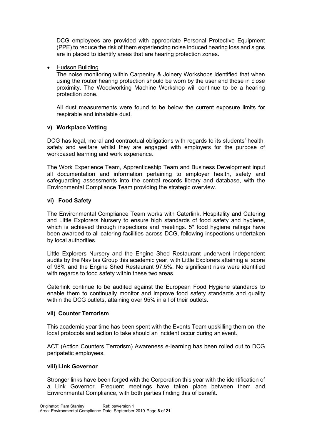DCG employees are provided with appropriate Personal Protective Equipment (PPE) to reduce the risk of them experiencing noise induced hearing loss and signs are in placed to identify areas that are hearing protection zones.

• Hudson Building

The noise monitoring within Carpentry & Joinery Workshops identified that when using the router hearing protection should be worn by the user and those in close proximity. The Woodworking Machine Workshop will continue to be a hearing protection zone.

All dust measurements were found to be below the current exposure limits for respirable and inhalable dust.

#### **v) Workplace Vetting**

DCG has legal, moral and contractual obligations with regards to its students' health, safety and welfare whilst they are engaged with employers for the purpose of workbased learning and work experience.

The Work Experience Team, Apprenticeship Team and Business Development input all documentation and information pertaining to employer health, safety and safeguarding assessments into the central records library and database, with the Environmental Compliance Team providing the strategic overview.

#### **vi) Food Safety**

The Environmental Compliance Team works with Caterlink, Hospitality and Catering and Little Explorers Nursery to ensure high standards of food safety and hygiene, which is achieved through inspections and meetings. 5<sup>\*</sup> food hygiene ratings have been awarded to all catering facilities across DCG, following inspections undertaken by local authorities.

Little Explorers Nursery and the Engine Shed Restaurant underwent independent audits by the Navitas Group this academic year, with Little Explorers attaining a score of 98% and the Engine Shed Restaurant 97.5%. No significant risks were identified with regards to food safety within these two areas.

Caterlink continue to be audited against the European Food Hygiene standards to enable them to continually monitor and improve food safety standards and quality within the DCG outlets, attaining over 95% in all of their outlets.

#### **vii) Counter Terrorism**

This academic year time has been spent with the Events Team upskilling them on the local protocols and action to take should an incident occur during an event.

ACT (Action Counters Terrorism) Awareness e-learning has been rolled out to DCG peripatetic employees.

#### **viii) Link Governor**

Stronger links have been forged with the Corporation this year with the identification of a Link Governor. Frequent meetings have taken place between them and Environmental Compliance, with both parties finding this of benefit.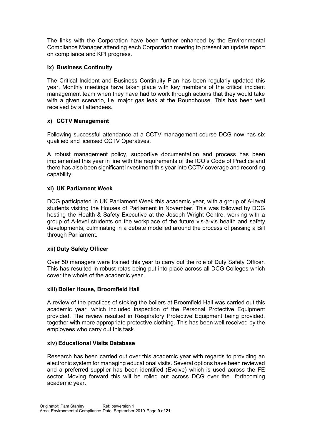The links with the Corporation have been further enhanced by the Environmental Compliance Manager attending each Corporation meeting to present an update report on compliance and KPI progress.

## **ix) Business Continuity**

The Critical Incident and Business Continuity Plan has been regularly updated this year. Monthly meetings have taken place with key members of the critical incident management team when they have had to work through actions that they would take with a given scenario, i.e. major gas leak at the Roundhouse. This has been well received by all attendees.

## **x) CCTV Management**

Following successful attendance at a CCTV management course DCG now has six qualified and licensed CCTV Operatives.

A robust management policy, supportive documentation and process has been implemented this year in line with the requirements of the ICO's Code of Practice and there has also been significant investment this year into CCTV coverage and recording capability.

## **xi) UK Parliament Week**

DCG participated in UK Parliament Week this academic year, with a group of A-level students visiting the Houses of Parliament in November. This was followed by DCG hosting the Health & Safety Executive at the Joseph Wright Centre, working with a group of A-level students on the workplace of the future vis-à-vis health and safety developments, culminating in a debate modelled around the process of passing a Bill through Parliament.

#### **xii) Duty Safety Officer**

Over 50 managers were trained this year to carry out the role of Duty Safety Officer. This has resulted in robust rotas being put into place across all DCG Colleges which cover the whole of the academic year.

#### **xiii) Boiler House, Broomfield Hall**

A review of the practices of stoking the boilers at Broomfield Hall was carried out this academic year, which included inspection of the Personal Protective Equipment provided. The review resulted in Respiratory Protective Equipment being provided, together with more appropriate protective clothing. This has been well received by the employees who carry out this task.

#### **xiv) Educational Visits Database**

Research has been carried out over this academic year with regards to providing an electronic system for managing educational visits. Several options have been reviewed and a preferred supplier has been identified (Evolve) which is used across the FE sector. Moving forward this will be rolled out across DCG over the forthcoming academic year.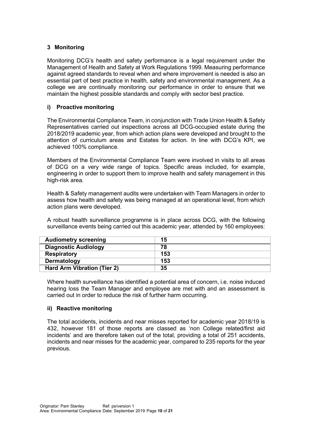## **3 Monitoring**

Monitoring DCG's health and safety performance is a legal requirement under the Management of Health and Safety at Work Regulations 1999. Measuring performance against agreed standards to reveal when and where improvement is needed is also an essential part of best practice in health, safety and environmental management. As a college we are continually monitoring our performance in order to ensure that we maintain the highest possible standards and comply with sector best practice.

## **i) Proactive monitoring**

The Environmental Compliance Team, in conjunction with Trade Union Health & Safety Representatives carried out inspections across all DCG-occupied estate during the 2018/2019 academic year, from which action plans were developed and brought to the attention of curriculum areas and Estates for action. In line with DCG's KPI, we achieved 100% compliance.

Members of the Environmental Compliance Team were involved in visits to all areas of DCG on a very wide range of topics. Specific areas included, for example, engineering in order to support them to improve health and safety management in this high-risk area.

Health & Safety management audits were undertaken with Team Managers in order to assess how health and safety was being managed at an operational level, from which action plans were developed.

A robust health surveillance programme is in place across DCG, with the following surveillance events being carried out this academic year, attended by 160 employees:

| <b>Audiometry screening</b>        | 15  |
|------------------------------------|-----|
| <b>Diagnostic Audiology</b>        | 78  |
| <b>Respiratory</b>                 | 153 |
| Dermatology                        | 153 |
| <b>Hard Arm Vibration (Tier 2)</b> | 35  |

Where health surveillance has identified a potential area of concern, i.e. noise induced hearing loss the Team Manager and employee are met with and an assessment is carried out in order to reduce the risk of further harm occurring.

#### **ii) Reactive monitoring**

The total accidents, incidents and near misses reported for academic year 2018/19 is 432, however 181 of those reports are classed as 'non College related/first aid incidents' and are therefore taken out of the total, providing a total of 251 accidents, incidents and near misses for the academic year, compared to 235 reports for the year previous.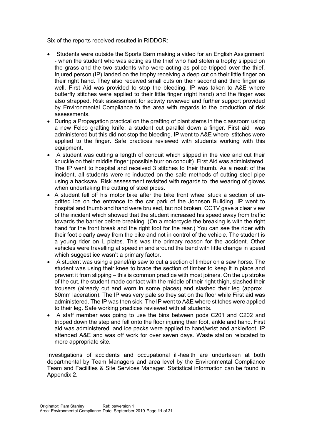Six of the reports received resulted in RIDDOR:

- Students were outside the Sports Barn making a video for an English Assignment - when the student who was acting as the thief who had stolen a trophy slipped on the grass and the two students who were acting as police tripped over the thief. Injured person (IP) landed on the trophy receiving a deep cut on their little finger on their right hand. They also received small cuts on their second and third finger as well. First Aid was provided to stop the bleeding. IP was taken to A&E where butterfly stitches were applied to their little finger (right hand) and the finger was also strapped. Risk assessment for activity reviewed and further support provided by Environmental Compliance to the area with regards to the production of risk assessments.
- During a Propagation practical on the grafting of plant stems in the classroom using a new Felco grafting knife, a student cut parallel down a finger. First aid was administered but this did not stop the bleeding. IP went to A&E where stitches were applied to the finger. Safe practices reviewed with students working with this equipment.
- A student was cutting a length of conduit which slipped in the vice and cut their knuckle on their middle finger (possible burr on conduit). First Aid was administered. The IP went to hospital and received 3 stitches to their thumb. As a result of the incident, all students were re-inducted on the safe methods of cutting steel pipe using a hacksaw. Risk assessment revisited with regards to the wearing of gloves when undertaking the cutting of steel pipes.
- A student fell off his motor bike after the bike front wheel stuck a section of ungritted ice on the entrance to the car park of the Johnson Building. IP went to hospital and thumb and hand were bruised, but not broken. CCTV gave a clear view of the incident which showed that the student increased his speed away from traffic towards the barrier before breaking. (On a motorcycle the breaking is with the right hand for the front break and the right foot for the rear.) You can see the rider with their foot clearly away from the bike and not in control of the vehicle. The student is a young rider on L plates. This was the primary reason for the accident. Other vehicles were travelling at speed in and around the bend with little change in speed which suggest ice wasn't a primary factor.
- A student was using a panel/rip saw to cut a section of timber on a saw horse. The student was using their knee to brace the section of timber to keep it in place and prevent it from slipping – this is common practice with most joiners. On the up stroke of the cut, the student made contact with the middle of their right thigh, slashed their trousers (already cut and worn in some places) and slashed their leg (approx.. 80mm laceration). The IP was very pale so they sat on the floor while First aid was administered. The IP was then sick. The IP went to A&E where stitches were applied to their leg. Safe working practices reviewed with all students.
- A staff member was going to use the bins between pods C201 and C202 and tripped down the step and fell onto the floor injuring their foot, ankle and hand. First aid was administered, and ice packs were applied to hand/wrist and ankle/foot. IP attended A&E and was off work for over seven days. Waste station relocated to more appropriate site.

Investigations of accidents and occupational ill-health are undertaken at both departmental by Team Managers and area level by the Environmental Compliance Team and Facilities & Site Services Manager. Statistical information can be found in Appendix 2.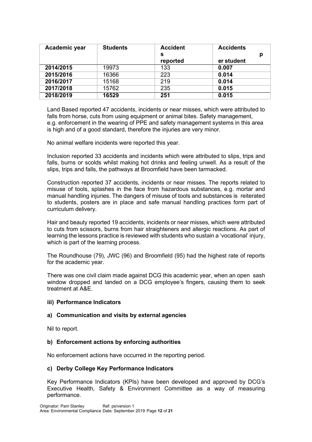| Academic year | <b>Students</b> | <b>Accident</b> | <b>Accidents</b> |
|---------------|-----------------|-----------------|------------------|
|               |                 | s               | р                |
|               |                 | reported        | er student       |
| 2014/2015     | 19973           | 133             | 0.007            |
| 2015/2016     | 16366           | 223             | 0.014            |
| 2016/2017     | 15168           | 219             | 0.014            |
| 2017/2018     | 15762           | 235             | 0.015            |
| 2018/2019     | 16529           | 251             | 0.015            |

Land Based reported 47 accidents, incidents or near misses, which were attributed to falls from horse, cuts from using equipment or animal bites. Safety management, e.g. enforcement in the wearing of PPE and safety management systems in this area is high and of a good standard, therefore the injuries are very minor.

No animal welfare incidents were reported this year.

Inclusion reported 33 accidents and incidents which were attributed to slips, trips and falls, burns or scolds whilst making hot drinks and feeling unwell. As a result of the slips, trips and falls, the pathways at Broomfield have been tarmacked.

Construction reported 37 accidents, incidents or near misses. The reports related to misuse of tools, splashes in the face from hazardous substances, e.g. mortar and manual handling injuries. The dangers of misuse of tools and substances is reiterated to students, posters are in place and safe manual handling practices form part of curriculum delivery.

Hair and beauty reported 19 accidents, incidents or near misses, which were attributed to cuts from scissors, burns from hair straighteners and allergic reactions. As part of learning the lessons practice is reviewed with students who sustain a 'vocational' injury, which is part of the learning process.

The Roundhouse (79), JWC (96) and Broomfield (95) had the highest rate of reports for the academic year.

There was one civil claim made against DCG this academic year, when an open sash window dropped and landed on a DCG employee's fingers, causing them to seek treatment at A&E.

#### **iii) Performance Indicators**

#### **a) Communication and visits by external agencies**

Nil to report.

#### **b) Enforcement actions by enforcing authorities**

No enforcement actions have occurred in the reporting period.

#### **c) Derby College Key Performance Indicators**

Key Performance Indicators (KPIs) have been developed and approved by DCG's Executive Health, Safety & Environment Committee as a way of measuring performance.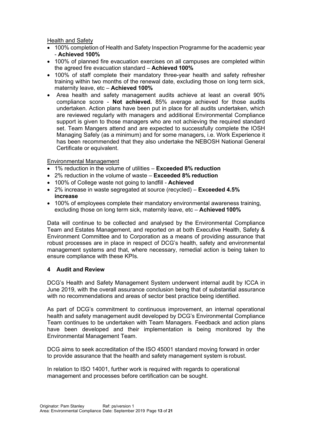Health and Safety

- 100% completion of Health and Safety Inspection Programme for the academic year - **Achieved 100%**
- 100% of planned fire evacuation exercises on all campuses are completed within the agreed fire evacuation standard – **Achieved 100%**
- 100% of staff complete their mandatory three-year health and safety refresher training within two months of the renewal date, excluding those on long term sick, maternity leave, etc – **Achieved 100%**
- Area health and safety management audits achieve at least an overall 90% compliance score - **Not achieved.** 85% average achieved for those audits undertaken. Action plans have been put in place for all audits undertaken, which are reviewed regularly with managers and additional Environmental Compliance support is given to those managers who are not achieving the required standard set. Team Mangers attend and are expected to successfully complete the IOSH Managing Safely (as a minimum) and for some managers, i.e. Work Experience it has been recommended that they also undertake the NEBOSH National General Certificate or equivalent.

#### Environmental Management

- 1% reduction in the volume of utilities **Exceeded 8% reduction**
- 2% reduction in the volume of waste **Exceeded 8% reduction**
- 100% of College waste not going to landfill **Achieved**
- 2% increase in waste segregated at source (recycled) **Exceeded 4.5% increase**
- 100% of employees complete their mandatory environmental awareness training, excluding those on long term sick, maternity leave, etc – **Achieved 100%**

Data will continue to be collected and analysed by the Environmental Compliance Team and Estates Management, and reported on at both Executive Health, Safety & Environment Committee and to Corporation as a means of providing assurance that robust processes are in place in respect of DCG's health, safety and environmental management systems and that, where necessary, remedial action is being taken to ensure compliance with these KPIs.

#### **4 Audit and Review**

DCG's Health and Safety Management System underwent internal audit by ICCA in June 2019, with the overall assurance conclusion being that of substantial assurance with no recommendations and areas of sector best practice being identified.

As part of DCG's commitment to continuous improvement, an internal operational health and safety management audit developed by DCG's Environmental Compliance Team continues to be undertaken with Team Managers. Feedback and action plans have been developed and their implementation is being monitored by the Environmental Management Team.

DCG aims to seek accreditation of the ISO 45001 standard moving forward in order to provide assurance that the health and safety management system is robust.

In relation to ISO 14001, further work is required with regards to operational management and processes before certification can be sought.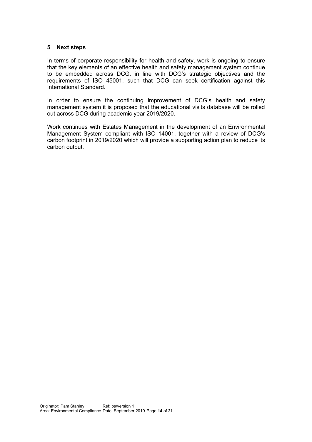#### **5 Next steps**

In terms of corporate responsibility for health and safety, work is ongoing to ensure that the key elements of an effective health and safety management system continue to be embedded across DCG, in line with DCG's strategic objectives and the requirements of ISO 45001, such that DCG can seek certification against this International Standard.

In order to ensure the continuing improvement of DCG's health and safety management system it is proposed that the educational visits database will be rolled out across DCG during academic year 2019/2020.

Work continues with Estates Management in the development of an Environmental Management System compliant with ISO 14001, together with a review of DCG's carbon footprint in 2019/2020 which will provide a supporting action plan to reduce its carbon output.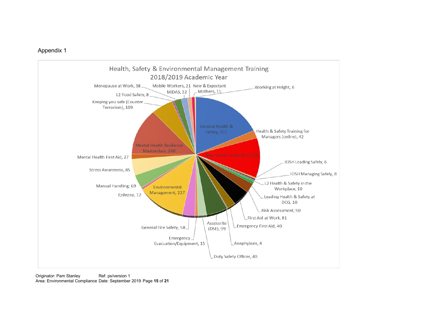## Appendix 1

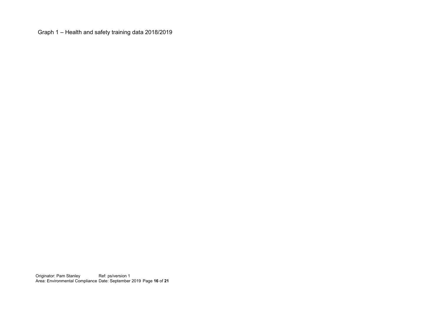Graph 1 – Health and safety training data 2018/2019

Originator: Pam Stanley Area: Environmental Compliance Ref: ps/version 1 Date: September 2019 Page **16** of **21**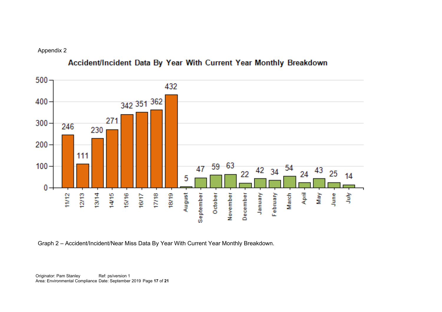Appendix 2



# Accident/Incident Data By Year With Current Year Monthly Breakdown

Graph 2 – Accident/Incident/Near Miss Data By Year With Current Year Monthly Breakdown.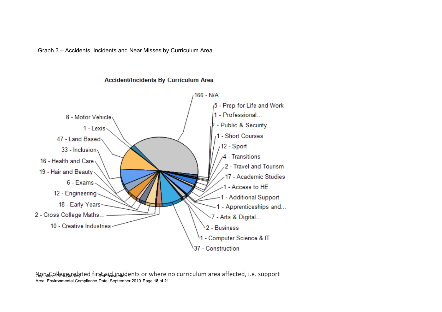Graph 3 – Accidents, Incidents and Near Misses by Curriculum Area



## Accident/Incidents By Curriculum Area

ปัญก<sub>ิส</sub>ุ Gollege <sub>ได้ที</sub>่ละอยู่ Standard first aig vincidents or where no curriculum area affected, i.e. support Area: Environmental Compliance Date: September 2019 Page **18** of **21**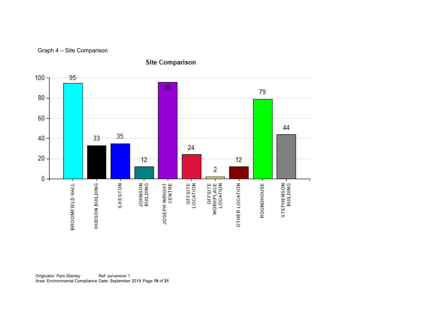



**Site Comparison**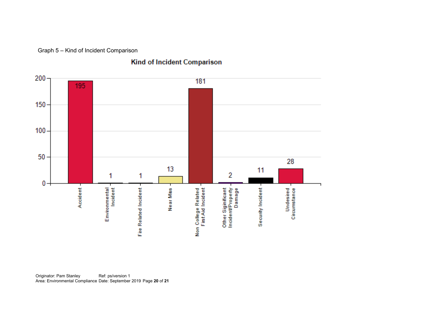Graph 5 – Kind of Incident Comparison

## Kind of Incident Comparison



Originator: Pam Stanley Area: Environmental Compliance Ref: ps/version 1 Date: September 2019 Page **20** of **21**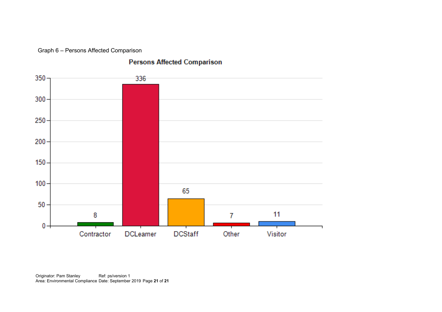Graph 6 – Persons Affected Comparison

## **Persons Affected Comparison**